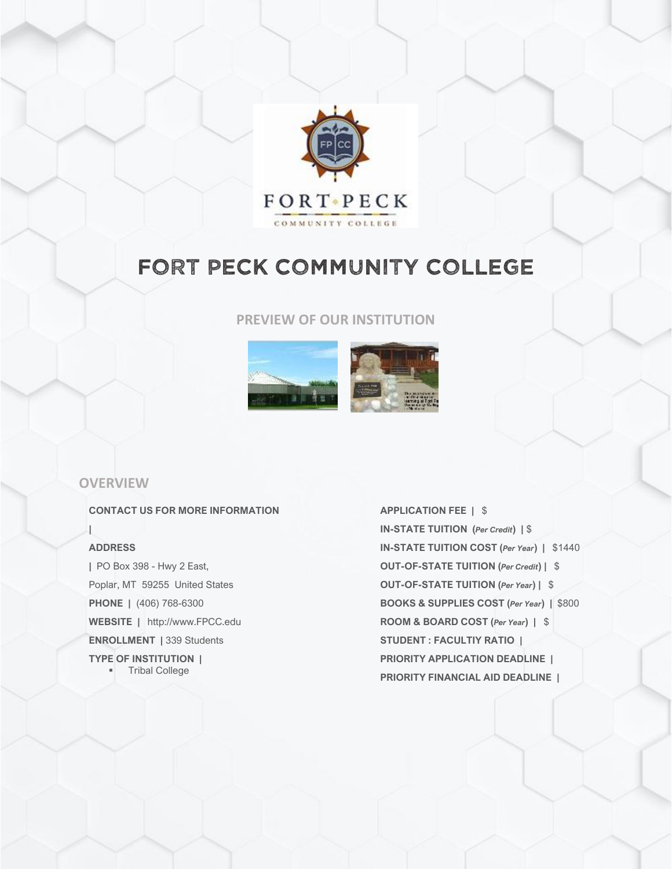

# FORT PECK COMMUNITY COLLEGE

## **PREVIEW OF OUR INSTITUTION**



## **OVERVIEW**

#### **CONTACT US FOR MORE INFORMATION**

#### **ADDRESS**

**|**

**|** PO Box 398 - Hwy 2 East, Poplar, MT 59255 United States **PHONE |** (406) 768-6300 **WEBSITE |** http://www.FPCC.edu **ENROLLMENT |** 339 Students **TYPE OF INSTITUTION | Tribal College** 

**APPLICATION FEE |** \$ **IN-STATE TUITION (***Per Credit***) |** \$ **IN-STATE TUITION COST (***Per Year***) |** \$1440 **OUT-OF-STATE TUITION (***Per Credit***) |** \$ **OUT-OF-STATE TUITION (***Per Year***) |** \$ **BOOKS & SUPPLIES COST (***Per Year***) |** \$800 **ROOM & BOARD COST (***Per Year***) |** \$ **STUDENT : FACULTIY RATIO | PRIORITY APPLICATION DEADLINE | PRIORITY FINANCIAL AID DEADLINE |**